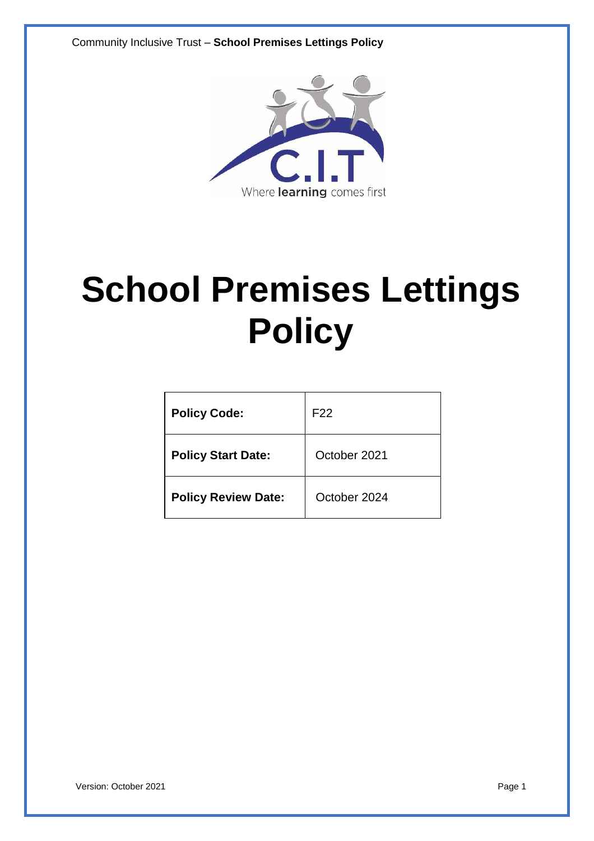Community Inclusive Trust – **School Premises Lettings Policy**



# **School Premises Lettings Policy**

| <b>Policy Code:</b>        | F <sub>22</sub> |
|----------------------------|-----------------|
| <b>Policy Start Date:</b>  | October 2021    |
| <b>Policy Review Date:</b> | October 2024    |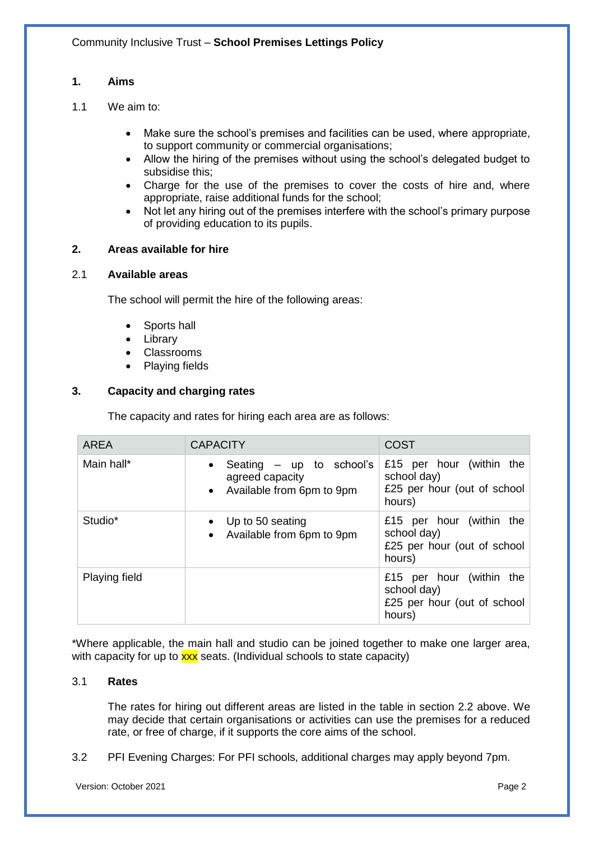## **1. Aims**

- 1.1 We aim to:
	- Make sure the school's premises and facilities can be used, where appropriate, to support community or commercial organisations;
	- Allow the hiring of the premises without using the school's delegated budget to subsidise this;
	- Charge for the use of the premises to cover the costs of hire and, where appropriate, raise additional funds for the school;
	- Not let any hiring out of the premises interfere with the school's primary purpose of providing education to its pupils.

## **2. Areas available for hire**

#### 2.1 **Available areas**

The school will permit the hire of the following areas:

- Sports hall
- **Library**
- Classrooms
- Playing fields

## **3. Capacity and charging rates**

The capacity and rates for hiring each area are as follows:

| <b>AREA</b>          | <b>CAPACITY</b>                                                                           | <b>COST</b>                                                                      |
|----------------------|-------------------------------------------------------------------------------------------|----------------------------------------------------------------------------------|
| Main hall*           | Seating $-$ up to school's<br>$\bullet$<br>agreed capacity<br>• Available from 6pm to 9pm | £15 per hour (within the<br>school day)<br>£25 per hour (out of school<br>hours) |
| Studio <sup>*</sup>  | Up to 50 seating<br>$\bullet$<br>Available from 6pm to 9pm<br>$\bullet$                   | £15 per hour (within the<br>school day)<br>£25 per hour (out of school<br>hours) |
| <b>Playing field</b> |                                                                                           | £15 per hour (within the<br>school day)<br>£25 per hour (out of school<br>hours) |

\*Where applicable, the main hall and studio can be joined together to make one larger area, with capacity for up to  $\frac{xx}{xx}$  seats. (Individual schools to state capacity)

## 3.1 **Rates**

The rates for hiring out different areas are listed in the table in section 2.2 above. We may decide that certain organisations or activities can use the premises for a reduced rate, or free of charge, if it supports the core aims of the school.

## 3.2 PFI Evening Charges: For PFI schools, additional charges may apply beyond 7pm.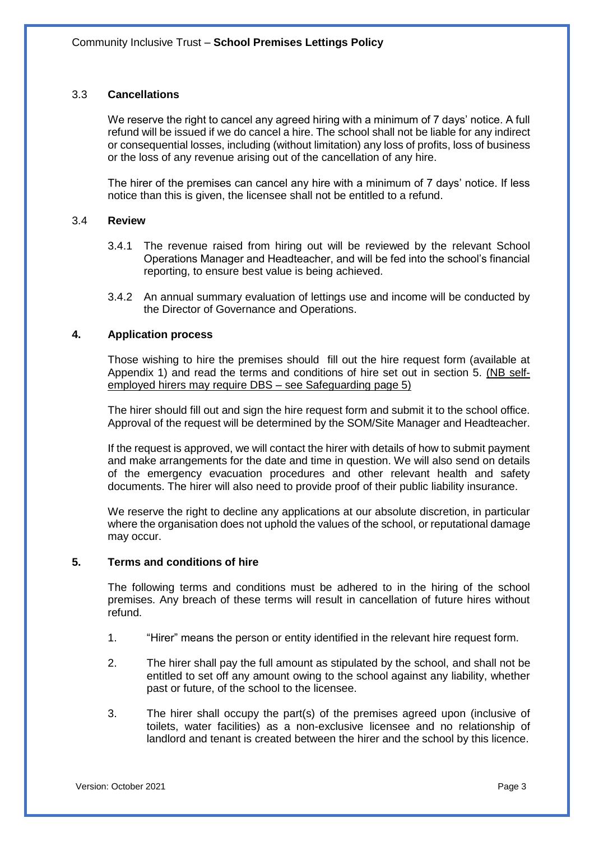## 3.3 **Cancellations**

We reserve the right to cancel any agreed hiring with a minimum of 7 days' notice. A full refund will be issued if we do cancel a hire. The school shall not be liable for any indirect or consequential losses, including (without limitation) any loss of profits, loss of business or the loss of any revenue arising out of the cancellation of any hire.

The hirer of the premises can cancel any hire with a minimum of 7 days' notice. If less notice than this is given, the licensee shall not be entitled to a refund.

#### 3.4 **Review**

- 3.4.1 The revenue raised from hiring out will be reviewed by the relevant School Operations Manager and Headteacher, and will be fed into the school's financial reporting, to ensure best value is being achieved.
- 3.4.2 An annual summary evaluation of lettings use and income will be conducted by the Director of Governance and Operations.

#### **4. Application process**

Those wishing to hire the premises should fill out the hire request form (available at Appendix 1) and read the terms and conditions of hire set out in section 5. (NB selfemployed hirers may require DBS – see Safeguarding page 5)

The hirer should fill out and sign the hire request form and submit it to the school office. Approval of the request will be determined by the SOM/Site Manager and Headteacher.

If the request is approved, we will contact the hirer with details of how to submit payment and make arrangements for the date and time in question. We will also send on details of the emergency evacuation procedures and other relevant health and safety documents. The hirer will also need to provide proof of their public liability insurance.

We reserve the right to decline any applications at our absolute discretion, in particular where the organisation does not uphold the values of the school, or reputational damage may occur.

#### **5. Terms and conditions of hire**

The following terms and conditions must be adhered to in the hiring of the school premises. Any breach of these terms will result in cancellation of future hires without refund.

- 1. "Hirer" means the person or entity identified in the relevant hire request form.
- 2. The hirer shall pay the full amount as stipulated by the school, and shall not be entitled to set off any amount owing to the school against any liability, whether past or future, of the school to the licensee.
- 3. The hirer shall occupy the part(s) of the premises agreed upon (inclusive of toilets, water facilities) as a non-exclusive licensee and no relationship of landlord and tenant is created between the hirer and the school by this licence.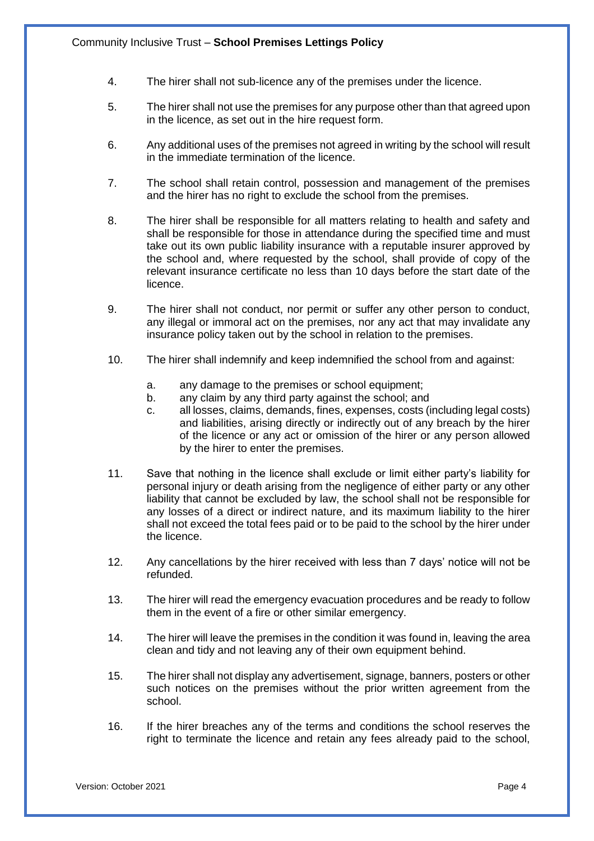- 4. The hirer shall not sub-licence any of the premises under the licence.
- 5. The hirer shall not use the premises for any purpose other than that agreed upon in the licence, as set out in the hire request form.
- 6. Any additional uses of the premises not agreed in writing by the school will result in the immediate termination of the licence.
- 7. The school shall retain control, possession and management of the premises and the hirer has no right to exclude the school from the premises.
- 8. The hirer shall be responsible for all matters relating to health and safety and shall be responsible for those in attendance during the specified time and must take out its own public liability insurance with a reputable insurer approved by the school and, where requested by the school, shall provide of copy of the relevant insurance certificate no less than 10 days before the start date of the licence.
- 9. The hirer shall not conduct, nor permit or suffer any other person to conduct, any illegal or immoral act on the premises, nor any act that may invalidate any insurance policy taken out by the school in relation to the premises.
- 10. The hirer shall indemnify and keep indemnified the school from and against:
	- a. any damage to the premises or school equipment;
	- b. any claim by any third party against the school; and
	- c. all losses, claims, demands, fines, expenses, costs (including legal costs) and liabilities, arising directly or indirectly out of any breach by the hirer of the licence or any act or omission of the hirer or any person allowed by the hirer to enter the premises.
- 11. Save that nothing in the licence shall exclude or limit either party's liability for personal injury or death arising from the negligence of either party or any other liability that cannot be excluded by law, the school shall not be responsible for any losses of a direct or indirect nature, and its maximum liability to the hirer shall not exceed the total fees paid or to be paid to the school by the hirer under the licence.
- 12. Any cancellations by the hirer received with less than 7 days' notice will not be refunded.
- 13. The hirer will read the emergency evacuation procedures and be ready to follow them in the event of a fire or other similar emergency.
- 14. The hirer will leave the premises in the condition it was found in, leaving the area clean and tidy and not leaving any of their own equipment behind.
- 15. The hirer shall not display any advertisement, signage, banners, posters or other such notices on the premises without the prior written agreement from the school.
- 16. If the hirer breaches any of the terms and conditions the school reserves the right to terminate the licence and retain any fees already paid to the school,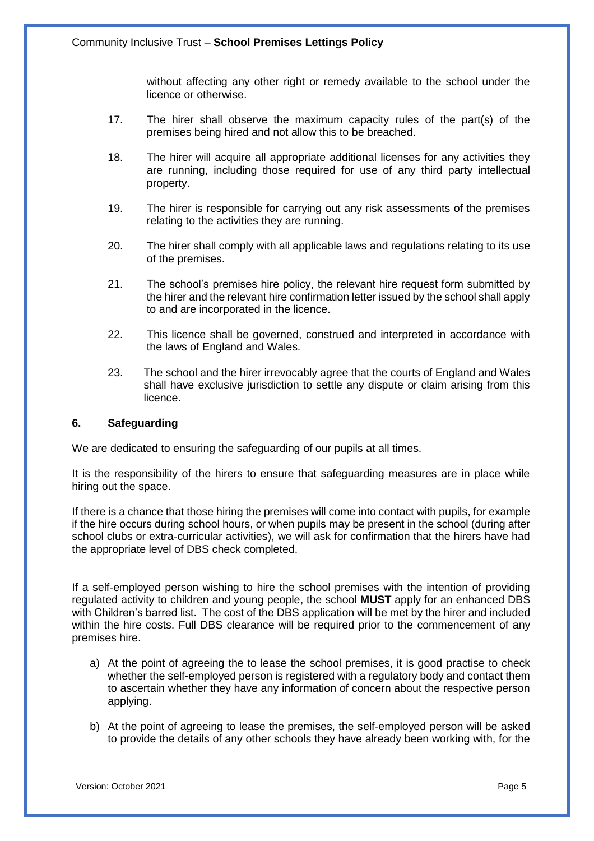without affecting any other right or remedy available to the school under the licence or otherwise.

- 17. The hirer shall observe the maximum capacity rules of the part(s) of the premises being hired and not allow this to be breached.
- 18. The hirer will acquire all appropriate additional licenses for any activities they are running, including those required for use of any third party intellectual property.
- 19. The hirer is responsible for carrying out any risk assessments of the premises relating to the activities they are running.
- 20. The hirer shall comply with all applicable laws and regulations relating to its use of the premises.
- 21. The school's premises hire policy, the relevant hire request form submitted by the hirer and the relevant hire confirmation letter issued by the school shall apply to and are incorporated in the licence.
- 22. This licence shall be governed, construed and interpreted in accordance with the laws of England and Wales.
- 23. The school and the hirer irrevocably agree that the courts of England and Wales shall have exclusive jurisdiction to settle any dispute or claim arising from this licence.

## **6. Safeguarding**

We are dedicated to ensuring the safeguarding of our pupils at all times.

It is the responsibility of the hirers to ensure that safeguarding measures are in place while hiring out the space.

If there is a chance that those hiring the premises will come into contact with pupils, for example if the hire occurs during school hours, or when pupils may be present in the school (during after school clubs or extra-curricular activities), we will ask for confirmation that the hirers have had the appropriate level of DBS check completed.

If a self-employed person wishing to hire the school premises with the intention of providing regulated activity to children and young people, the school **MUST** apply for an enhanced DBS with Children's barred list. The cost of the DBS application will be met by the hirer and included within the hire costs. Full DBS clearance will be required prior to the commencement of any premises hire.

- a) At the point of agreeing the to lease the school premises, it is good practise to check whether the self-employed person is registered with a regulatory body and contact them to ascertain whether they have any information of concern about the respective person applying.
- b) At the point of agreeing to lease the premises, the self-employed person will be asked to provide the details of any other schools they have already been working with, for the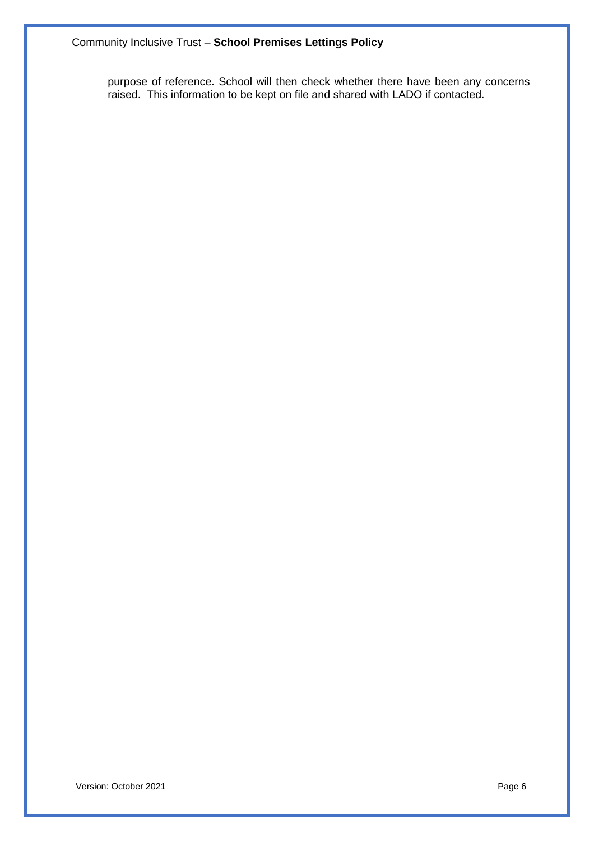purpose of reference. School will then check whether there have been any concerns raised. This information to be kept on file and shared with LADO if contacted.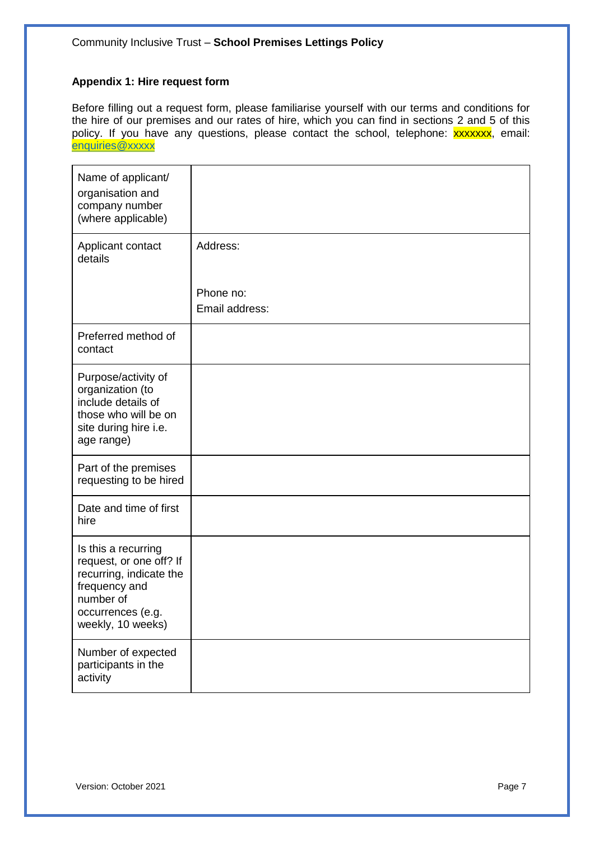## **Appendix 1: Hire request form**

Before filling out a request form, please familiarise yourself with our terms and conditions for the hire of our premises and our rates of hire, which you can find in sections 2 and 5 of this policy. If you have any questions, please contact the school, telephone: xxxxxxx, email: [enquiries@xxxxx](mailto:enquiries@poplarfarmsch-cit.co.uk)

| Name of applicant/<br>organisation and<br>company number<br>(where applicable)                                                                    |                             |
|---------------------------------------------------------------------------------------------------------------------------------------------------|-----------------------------|
| Applicant contact<br>details                                                                                                                      | Address:                    |
|                                                                                                                                                   | Phone no:<br>Email address: |
| Preferred method of<br>contact                                                                                                                    |                             |
| Purpose/activity of<br>organization (to<br>include details of<br>those who will be on<br>site during hire i.e.<br>age range)                      |                             |
| Part of the premises<br>requesting to be hired                                                                                                    |                             |
| Date and time of first<br>hire                                                                                                                    |                             |
| Is this a recurring<br>request, or one off? If<br>recurring, indicate the<br>frequency and<br>number of<br>occurrences (e.g.<br>weekly, 10 weeks) |                             |
| Number of expected<br>participants in the<br>activity                                                                                             |                             |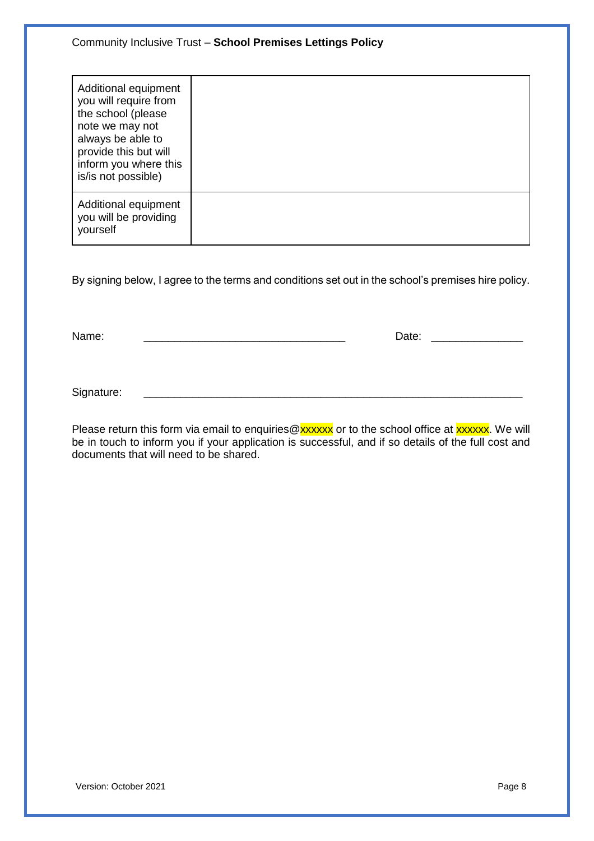| Additional equipment<br>you will require from<br>the school (please<br>note we may not<br>always be able to<br>provide this but will<br>inform you where this<br>is/is not possible) |  |
|--------------------------------------------------------------------------------------------------------------------------------------------------------------------------------------|--|
| Additional equipment<br>you will be providing<br>yourself                                                                                                                            |  |

By signing below, I agree to the terms and conditions set out in the school's premises hire policy.

Name: \_\_\_\_\_\_\_\_\_\_\_\_\_\_\_\_\_\_\_\_\_\_\_\_\_\_\_\_\_\_\_\_\_ Date: \_\_\_\_\_\_\_\_\_\_\_\_\_\_\_

Signature:

Please return this form via email to enquiries@xxxxxx or to the school office at xxxxxx. We will be in touch to inform you if your application is successful, and if so details of the full cost and documents that will need to be shared.